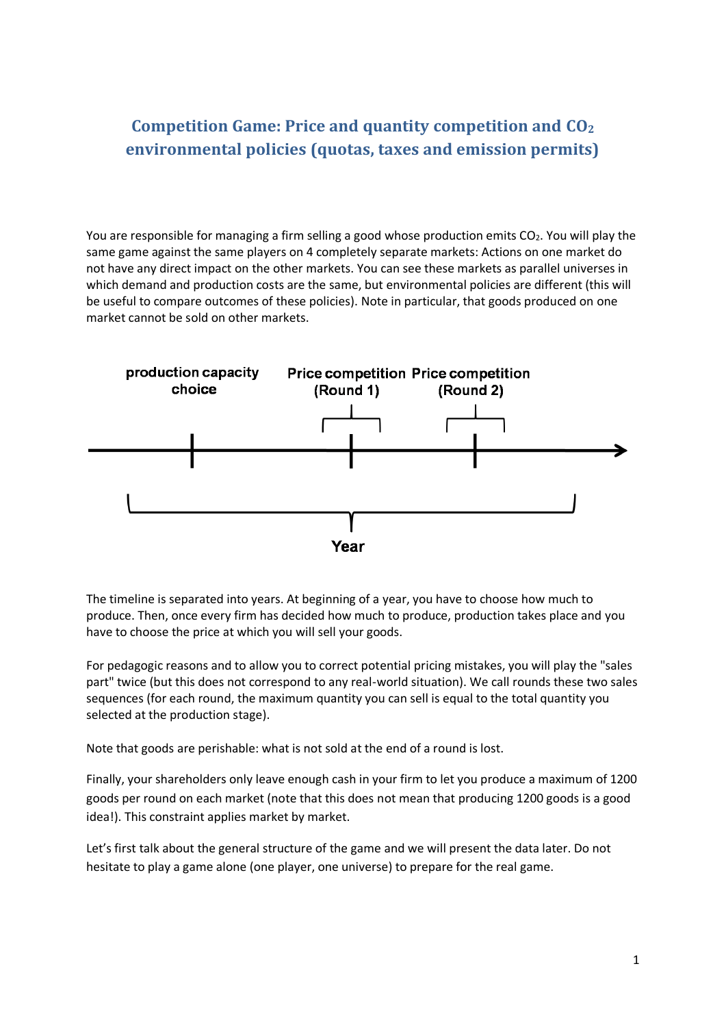# **Competition Game: Price and quantity competition and CO<sup>2</sup> environmental policies (quotas, taxes and emission permits)**

You are responsible for managing a firm selling a good whose production emits CO<sub>2</sub>. You will play the same game against the same players on 4 completely separate markets: Actions on one market do not have any direct impact on the other markets. You can see these markets as parallel universes in which demand and production costs are the same, but environmental policies are different (this will be useful to compare outcomes of these policies). Note in particular, that goods produced on one market cannot be sold on other markets.



The timeline is separated into years. At beginning of a year, you have to choose how much to produce. Then, once every firm has decided how much to produce, production takes place and you have to choose the price at which you will sell your goods.

For pedagogic reasons and to allow you to correct potential pricing mistakes, you will play the "sales part" twice (but this does not correspond to any real-world situation). We call rounds these two sales sequences (for each round, the maximum quantity you can sell is equal to the total quantity you selected at the production stage).

Note that goods are perishable: what is not sold at the end of a round is lost.

Finally, your shareholders only leave enough cash in your firm to let you produce a maximum of 1200 goods per round on each market (note that this does not mean that producing 1200 goods is a good idea!). This constraint applies market by market.

Let's first talk about the general structure of the game and we will present the data later. Do not hesitate to play a game alone (one player, one universe) to prepare for the real game.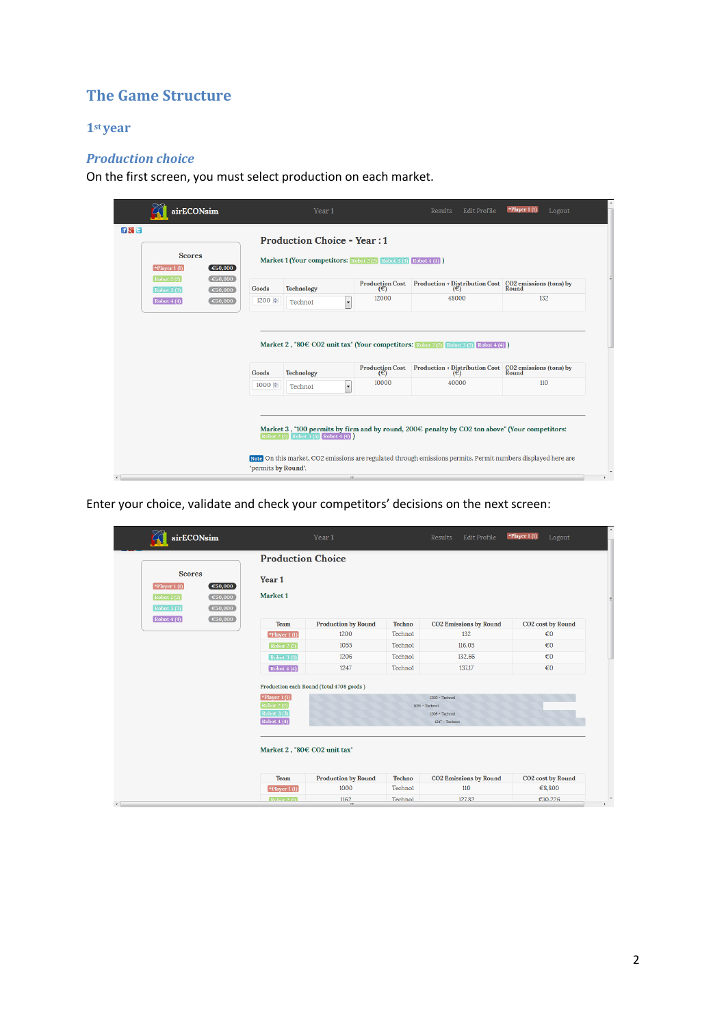# **The Game Structure**

### **1st year**

## *Production choice*

On the first screen, you must select production on each market.

| airECONsim                                                              |                     | Year <sub>1</sub>                                                                                     |                               | *Player 1 $(1)$<br><b>Results</b><br>Edit Profile<br>Logout                                                                                                                                                                    |                                  |  |  |  |
|-------------------------------------------------------------------------|---------------------|-------------------------------------------------------------------------------------------------------|-------------------------------|--------------------------------------------------------------------------------------------------------------------------------------------------------------------------------------------------------------------------------|----------------------------------|--|--|--|
| <b>Scores</b><br>$\blacktriangleright$ Player 1(1)<br>$\epsilon$ 50,000 |                     | <b>Production Choice - Year: 1</b><br>Market 1 (Your competitors: Robot 2 (2) Robot 3 (3) Robot 4 (4) |                               |                                                                                                                                                                                                                                |                                  |  |  |  |
| Robot 2(2)<br>$\epsilon$ 50,000<br>€50,000<br><b>Robot 3 (3)</b>        | Goods               | <b>Technology</b>                                                                                     | <b>Production Cost</b><br>(E) | Production + Distribution Cost $\begin{array}{ l } \hline \text{CO2 emissions (tons) by} \\\hline \text{Round} \end{array}$                                                                                                    |                                  |  |  |  |
| $\boxed{\text{Robot }4(4)}$<br>€50,000                                  | 1200 분              | Techno1                                                                                               | 12000                         | 48000                                                                                                                                                                                                                          | 132                              |  |  |  |
|                                                                         |                     |                                                                                                       |                               | Market 2, "80 $\in$ CO2 unit tax" (Your competitors: Robot 2 (2) Robot 3 (3) Robot 4 (4)                                                                                                                                       |                                  |  |  |  |
|                                                                         | Goods               | <b>Technology</b>                                                                                     | <b>Production Cost</b><br>(E) | $\begin{array}{c} \textbf{Production} + \textbf{Distribution Cost} \\ (\infty) \end{array}$                                                                                                                                    | CO2 emissions (tons) by<br>Round |  |  |  |
|                                                                         | 1000 분              | Techno1<br>$\cdot$                                                                                    | 10000                         | 40000                                                                                                                                                                                                                          | 110                              |  |  |  |
|                                                                         | "permits by Round". | Robot 2 (2) Robot 3 (3) Robot 4 (4)                                                                   |                               | Market 3, "100 permits by firm and by round, $200 \in \emptyset$ penalty by CO2 ton above" (Your competitors:<br>Note On this market, CO2 emissions are regulated through emissions permits. Permit numbers displayed here are |                                  |  |  |  |

Enter your choice, validate and check your competitors' decisions on the next screen:

| airECONsim                                                                                                      |                                                                                  |                                                                                              | Year 1                                   |                                | Results<br>Edit Profile                                                      | *Player 1 (1)<br>Logout       |
|-----------------------------------------------------------------------------------------------------------------|----------------------------------------------------------------------------------|----------------------------------------------------------------------------------------------|------------------------------------------|--------------------------------|------------------------------------------------------------------------------|-------------------------------|
|                                                                                                                 |                                                                                  | <b>Production Choice</b>                                                                     |                                          |                                |                                                                              |                               |
| <b>Scores</b><br>$\blacktriangleright$ Player 1(1)<br>Robot 2(2)<br>$\boxed{\text{Robot }3\ (3)}$<br>Robot 4(4) | $\epsilon$ 50,000<br>$\epsilon$ 50,000<br>$\epsilon$ 50,000<br>$\epsilon$ 50,000 | Year 1<br>Market 1                                                                           |                                          |                                |                                                                              |                               |
|                                                                                                                 |                                                                                  | Team                                                                                         | <b>Production by Round</b>               | Techno                         | <b>CO2 Emissions by Round</b>                                                | <b>CO2</b> cost by Round      |
|                                                                                                                 |                                                                                  | $\blacktriangleright$ Player 1(1)                                                            | 1200                                     | Techno1                        | 132                                                                          | $\epsilon$ <sub>0</sub>       |
|                                                                                                                 |                                                                                  | Robot 2(2)                                                                                   | 1055                                     | Techno1                        | 116.05                                                                       | $\epsilon$ <sub>0</sub>       |
|                                                                                                                 |                                                                                  | $\fbox{Robot }3(3)$                                                                          | 1206                                     | Techno1                        | 132.66                                                                       | $\epsilon$ <sub>0</sub>       |
|                                                                                                                 |                                                                                  | Robot4(4)                                                                                    | 1247                                     | Technol                        | 137.17                                                                       | $\epsilon$ 0                  |
|                                                                                                                 |                                                                                  | $\blacktriangleright$ Player 1(1)<br><b>Robot 2 (2)</b><br>Robot 3(3)<br>$\fbox{Robot 4(4)}$ | Production each Round (Total 4708 goods) |                                | $1200 - Technot$<br>$1055 - Technol$<br>$1206 - Techno1$<br>$1247 - Technol$ |                               |
|                                                                                                                 |                                                                                  | Market 2, "80€ CO2 unit tax"                                                                 |                                          |                                |                                                                              |                               |
|                                                                                                                 |                                                                                  | <b>Team</b>                                                                                  | <b>Production by Round</b><br>1000       | Techno                         | <b>CO2 Emissions by Round</b>                                                | CO <sub>2</sub> cost by Round |
|                                                                                                                 |                                                                                  | $\blacktriangleright$ Player 1(1)                                                            | 1162                                     | Techno1<br>Techno <sub>1</sub> | 110<br>127.82                                                                | €8,800<br>€10.226             |
|                                                                                                                 |                                                                                  | Rohot 2(2)                                                                                   | m.                                       |                                |                                                                              |                               |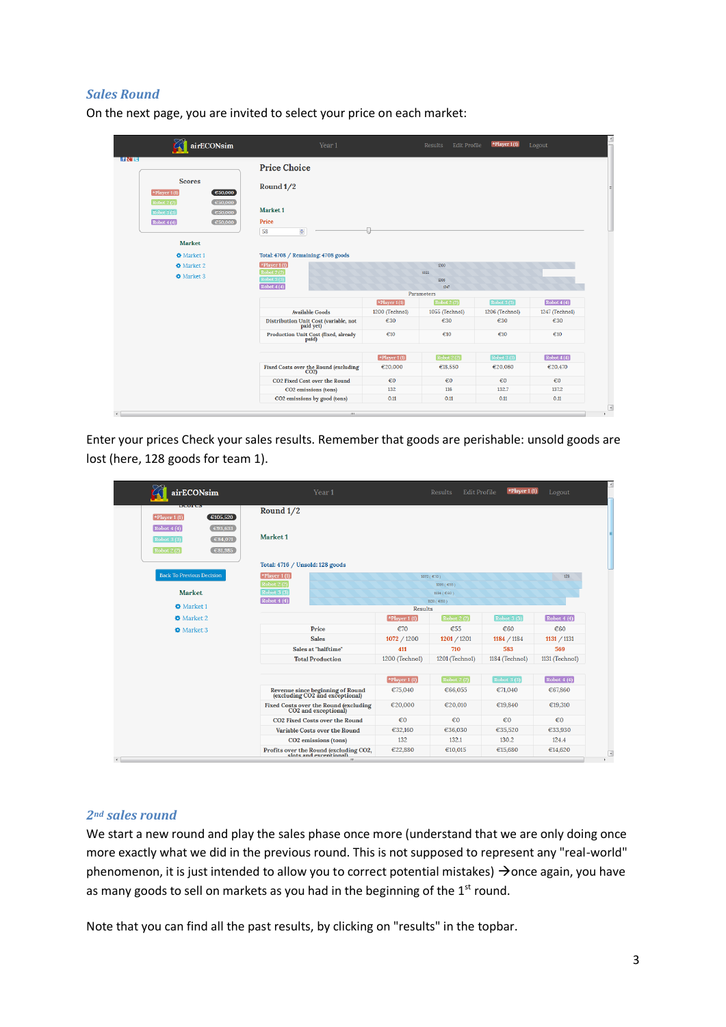### *Sales Round*

| On the next page, you are invited to select your price on each market: |  |  |  |  |
|------------------------------------------------------------------------|--|--|--|--|
|------------------------------------------------------------------------|--|--|--|--|

|                                                                                                   |                                                                 |                      |                      | <b>Edit Profile</b>     | Logout                  |
|---------------------------------------------------------------------------------------------------|-----------------------------------------------------------------|----------------------|----------------------|-------------------------|-------------------------|
| l fR'iel                                                                                          | <b>Price Choice</b>                                             |                      |                      |                         |                         |
| <b>Scores</b><br>$\sqrt[k]{$ Player 1(1)<br>$\epsilon$ 50,000<br>Robot 2 (2)<br>$\epsilon$ 50,000 | Round 1/2                                                       |                      |                      |                         |                         |
| Robot 3(3)<br>$\epsilon$ 50,000                                                                   | Market 1                                                        |                      |                      |                         |                         |
| Robot 4(4)<br>$\epsilon$ 50,000                                                                   | Price<br>58<br>÷                                                |                      |                      |                         |                         |
| Market                                                                                            |                                                                 |                      |                      |                         |                         |
| <b>O</b> Market 1                                                                                 | Total: 4708 / Remaining: 4708 goods                             |                      |                      |                         |                         |
| <b>O</b> Market 2                                                                                 | $\star$ Player 1(1)                                             |                      | 1200                 |                         |                         |
| <b>O</b> Market 3                                                                                 | Robot 2(2)<br>Robot 3(3)<br>$\boxed{\text{Robot }4(4)}$         |                      | 1055<br>1206<br>1247 |                         |                         |
|                                                                                                   |                                                                 |                      | Parameters           |                         |                         |
|                                                                                                   |                                                                 | $\angle$ Player 1(1) | Robot 2(2)           | Robot 3(3)              | Robot $4(4)$            |
|                                                                                                   | <b>Available Goods</b>                                          | 1200 (Technol)       | 1055 (Technol)       | 1206 (Technol)          | 1247 (Technol)          |
|                                                                                                   | ${\rm Distribution~Unit~Cost~(variable,~not~pathed)}$ paid yet) | €30                  | €30                  | €30                     | €30                     |
|                                                                                                   | Production Unit Cost (fixed, already<br>paid)                   | $\epsilon$ 10        | $\epsilon$ 10        | $\epsilon$ 10           | $\epsilon$ 10           |
|                                                                                                   |                                                                 | $\star$ Player 1(1)  | Robot 2(2)           | Robot 3(3)              | Robot 4(4)              |
|                                                                                                   | Fixed Costs over the Round (excluding<br>CO2)                   | €20,000              | €18,550              | €20,060                 | €20,470                 |
|                                                                                                   | <b>CO2 Fixed Cost over the Round</b>                            | $\epsilon$ 0         | $\epsilon$ 0         | $\epsilon$ <sub>0</sub> | $\epsilon$ <sup>0</sup> |
|                                                                                                   | CO2 emissions (tons)                                            | 132                  | 116                  | 132.7                   | 137.2                   |
|                                                                                                   | CO2 emissions by good (tons)                                    | 0.11                 | 0.11                 | 0.11                    | 0.11                    |

Enter your prices Check your sales results. Remember that goods are perishable: unsold goods are lost (here, 128 goods for team 1).

| airECONsim                                                                                   | Year 1                                                                |                     | <b>Results</b><br>Edit Profile | *Player 1 $(1)$         | Logout         |
|----------------------------------------------------------------------------------------------|-----------------------------------------------------------------------|---------------------|--------------------------------|-------------------------|----------------|
| <b>DESCRIPTION</b><br>$\epsilon$ 105,520<br>*Player $1(1)$                                   | Round 1/2                                                             |                     |                                |                         |                |
| C93,633<br>Robot4(4)<br>$\epsilon$ 84,071<br>Robot $3(3)$<br>$\epsilon$ 81,985<br>Robot 2(2) | Market <sub>1</sub>                                                   |                     |                                |                         |                |
|                                                                                              | Total: 4716 / Unsold: 128 goods                                       |                     |                                |                         |                |
| <b>Back To Previous Decision</b>                                                             | $\star$ Player 1(1)                                                   |                     | 1072 ( $C70$ )                 |                         | 128            |
|                                                                                              | Robot 2 (2)                                                           |                     | 1201 (€55)                     |                         |                |
| <b>Market</b>                                                                                | Robot 3 (3)                                                           |                     | 1184 (€60)                     |                         |                |
| <b>O</b> Market 1                                                                            | Robot 4(4)                                                            | Results             | 1131 ( €60)                    |                         |                |
| <b>W</b> Market 2                                                                            |                                                                       | $\star$ Player 1(1) | <b>Robot 2 (2)</b>             | Robot 3 (3)             | Robot4(4)      |
| <b>W</b> Market 3                                                                            | Price                                                                 | €70                 | €55                            | €60                     | €60            |
|                                                                                              | <b>Sales</b>                                                          | 1072 / 1200         | 1201 / 1201                    | 1184 / 1184             | 1131 / 1131    |
|                                                                                              | Sales at "halftime"                                                   | 411                 | 710                            | 583                     | 569            |
|                                                                                              | <b>Total Production</b>                                               | 1200 (Techno1)      | 1201 (Techno1)                 | 1184 (Techno1)          | 1131 (Technol) |
|                                                                                              |                                                                       | $\star$ Player 1(1) | <b>Robot 2 (2)</b>             | Robot 3(3)              | Robot $4(4)$   |
|                                                                                              | Revenue since beginning of Round<br>(excluding CO2 and exceptional)   | €75,040             | €66,055                        | €71,040                 | €67,860        |
|                                                                                              | Fixed Costs over the Round (excluding<br>CO2 and exceptional)         | €20,000             | €20.010                        | €19,840                 | €19,310        |
|                                                                                              | <b>CO2 Fixed Costs over the Round</b>                                 | $\epsilon$ 0        | $\n  €0\n$                     | $\epsilon$ <sub>0</sub> | $\epsilon$ 0   |
|                                                                                              | Variable Costs over the Round                                         | €32,160             | €36,030                        | €35,520                 | €33,930        |
|                                                                                              | CO <sub>2</sub> emissions (tons)                                      | 132                 | 132.1                          | 130.2                   | 124.4          |
|                                                                                              | Profits over the Round (excluding CO2,<br>slots and excentional)<br>ш | €22.880             | €10.015                        | €15,680                 | €14,620        |

#### *2nd sales round*

We start a new round and play the sales phase once more (understand that we are only doing once more exactly what we did in the previous round. This is not supposed to represent any "real-world" phenomenon, it is just intended to allow you to correct potential mistakes)  $\rightarrow$  once again, you have as many goods to sell on markets as you had in the beginning of the 1<sup>st</sup> round.

Note that you can find all the past results, by clicking on "results" in the topbar.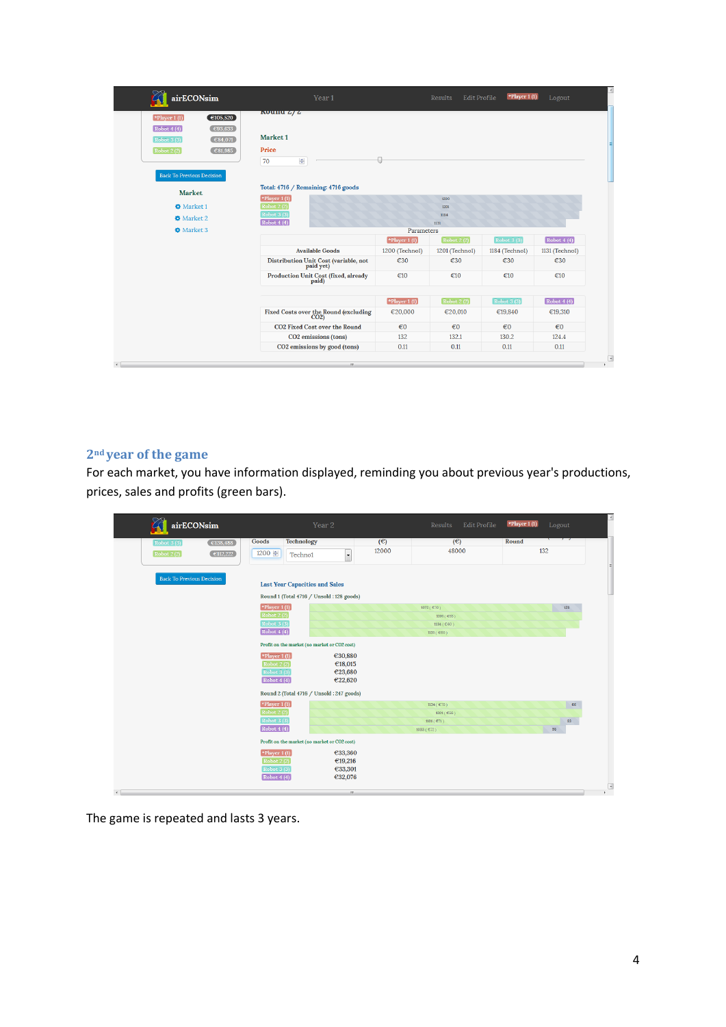| $x$ vunu $z/z$<br>Market <sub>1</sub><br>Price<br>$\frac{\Delta}{\Psi}$<br>70<br>Total: 4716 / Remaining: 4716 goods<br>*Player $1(1)$<br><b>Robot 2(2)</b><br>Robot $3(3)$<br>Robot $4(4)$ |                                                               | 1200<br>1201<br>1184<br>1131 |                             |                         |  |  |
|---------------------------------------------------------------------------------------------------------------------------------------------------------------------------------------------|---------------------------------------------------------------|------------------------------|-----------------------------|-------------------------|--|--|
|                                                                                                                                                                                             |                                                               |                              |                             |                         |  |  |
|                                                                                                                                                                                             |                                                               |                              |                             |                         |  |  |
|                                                                                                                                                                                             |                                                               |                              |                             |                         |  |  |
|                                                                                                                                                                                             |                                                               |                              |                             |                         |  |  |
|                                                                                                                                                                                             |                                                               |                              |                             |                         |  |  |
|                                                                                                                                                                                             |                                                               |                              |                             |                         |  |  |
|                                                                                                                                                                                             |                                                               |                              |                             |                         |  |  |
|                                                                                                                                                                                             |                                                               |                              |                             |                         |  |  |
|                                                                                                                                                                                             |                                                               |                              |                             |                         |  |  |
|                                                                                                                                                                                             |                                                               |                              |                             |                         |  |  |
| Parameters                                                                                                                                                                                  |                                                               |                              |                             |                         |  |  |
|                                                                                                                                                                                             | $\blacktriangleright$ Player 1(1)                             | Robot 2(2)                   | $\boxed{\text{Robot }3(3)}$ | Robot 4(4)              |  |  |
| <b>Available Goods</b>                                                                                                                                                                      | 1200 (Technol)                                                | 1201 (Technol)               | 1184 (Techno1)              | 1131 (Technol)          |  |  |
| Distribution Unit Cost (variable, not<br>paid yet)                                                                                                                                          | €30                                                           | €30                          | €30                         | €30                     |  |  |
| Production Unit Cost (fixed, already<br>paid)                                                                                                                                               | €10                                                           | €10                          | €10                         | €10                     |  |  |
|                                                                                                                                                                                             |                                                               |                              |                             | $\fbox{Robot 4(4)}$     |  |  |
|                                                                                                                                                                                             | €20,000                                                       | €20,010                      | €19,840                     | €19,310                 |  |  |
| <b>CO2 Fixed Cost over the Round</b>                                                                                                                                                        | $\epsilon$ <sup>0</sup>                                       | $\epsilon$ <sup>0</sup>      | $\epsilon$ <sub>0</sub>     | $\epsilon$ <sup>0</sup> |  |  |
| CO2 emissions (tons)                                                                                                                                                                        | 132                                                           | 132.1                        | 130.2                       | 124.4                   |  |  |
| CO2 emissions by good (tons)                                                                                                                                                                | 0.11                                                          | 0.11                         | 0.11                        | 0.11                    |  |  |
|                                                                                                                                                                                             | Fixed Costs over the Round (excluding<br>CO2)<br>$\mathbf{m}$ | $\star$ Player 1(1)          | <b>Robot 2 (2)</b>          | Robot 3(3)              |  |  |

### **2nd year of the game**

For each market, you have information displayed, reminding you about previous year's productions, prices, sales and profits (green bars).

| airECONsim                       |                    |                                                                             | Year 2                                    |       | Results                   | Edit Profile | *Player 1 (1) | Logout |  |
|----------------------------------|--------------------|-----------------------------------------------------------------------------|-------------------------------------------|-------|---------------------------|--------------|---------------|--------|--|
| <b>Robot 3 (3)</b>               | E138,488           | Goods<br><b>Technology</b>                                                  |                                           | (E)   | (E)                       |              | Round         |        |  |
| Robot 2(2)                       | $\epsilon$ 112,222 | 1200 승<br>Techno1                                                           | $\overline{\phantom{a}}$                  | 12000 | 48000                     |              |               | 132    |  |
| <b>Back To Previous Decision</b> |                    | <b>Last Year Capacities and Sales</b>                                       | Round 1 (Total 4716 / Unsold: 128 goods)  |       |                           |              |               |        |  |
|                                  |                    | *Player $1(1)$                                                              |                                           |       | 1072 ( €70 )              |              |               | 128    |  |
|                                  |                    | Robot 2(2)                                                                  |                                           |       | 1201 (€55)                |              |               |        |  |
|                                  |                    | Robot 3 (3)<br>Robot $4(4)$                                                 |                                           |       | 1184(€60)                 |              |               |        |  |
|                                  |                    |                                                                             |                                           |       | 1131 ( $\epsilon$ 60)     |              |               |        |  |
|                                  |                    | Profit on the market (no market or CO2 cost)                                |                                           |       |                           |              |               |        |  |
|                                  |                    | *Player $1(1)$<br>Robot 2(2)<br>Robot 3(3)<br>$\boxed{\text{Robot }4\ (4)}$ | €30,880<br>€18,015<br>€23,680<br>€22,620  |       |                           |              |               |        |  |
|                                  |                    |                                                                             | Round 2 (Total 4716 / Unsold : 247 goods) |       |                           |              |               |        |  |
|                                  |                    | $\blacktriangleright$ Player 1(1)                                           |                                           |       | 1134 ( $C70$ )            |              |               | 66     |  |
|                                  |                    | Robot2(2)                                                                   |                                           |       | 1201 ( $$56$ )            |              |               |        |  |
|                                  |                    | Robot 3(3)                                                                  |                                           |       | 1101 ( $E71$ )            |              |               | 83     |  |
|                                  |                    | $\sqrt{\text{Robot }4(4)}$                                                  |                                           |       | 1033 ( $\mathfrak{C}$ 72) |              |               | 98     |  |
|                                  |                    | Profit on the market (no market or CO2 cost)                                |                                           |       |                           |              |               |        |  |
|                                  |                    | *Player $1(1)$                                                              | €33,360                                   |       |                           |              |               |        |  |
|                                  |                    | <b>Robot 2 (2)</b>                                                          | €19,216                                   |       |                           |              |               |        |  |
|                                  |                    | Robot $3(3)$                                                                | €33,301                                   |       |                           |              |               |        |  |
|                                  |                    | $\sqrt{\text{Robot }4(4)}$                                                  | €32,076                                   |       |                           |              |               |        |  |
|                                  |                    |                                                                             | m.                                        |       |                           |              |               |        |  |

The game is repeated and lasts 3 years.